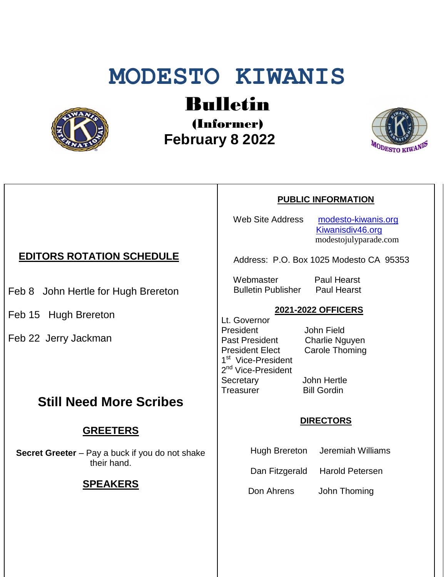# **MODESTO KIWANIS**



Bulletin

(Informer)  **February 8 2022**



#### **PUBLIC INFORMATION**

Web Site Address [modesto-kiwanis.org](http://modesto-kiwanis.org/) [Kiwanisdiv46.org](http://www.kiwanisdiv46.org/) modestojulyparade.com

Address: P.O. Box 1025 Modesto CA 95353

Webmaster Paul Hearst Bulletin Publisher Paul Hearst

#### **2021-2022 OFFICERS**

Lt. Governor President John Field Past President Charlie Nguyen President Elect Carole Thoming 1<sup>st</sup> Vice-President 2<sup>nd</sup> Vice-President Secretary John Hertle Treasurer Bill Gordin

#### **DIRECTORS**

Hugh Brereton Jeremiah Williams

Dan Fitzgerald Harold Petersen

Don Ahrens John Thoming

## **EDITORS ROTATION SCHEDULE**

Feb 8 John Hertle for Hugh Brereton

Feb 15 Hugh Brereton

Feb 22 Jerry Jackman

# **Still Need More Scribes**

#### **GREETERS**

**Secret Greeter** – Pay a buck if you do not shake their hand.

#### **SPEAKERS**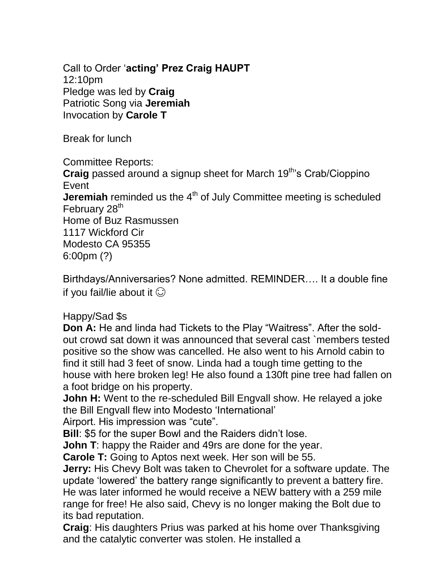Call to Order '**acting' Prez Craig HAUPT** 12:10pm Pledge was led by **Craig** Patriotic Song via **Jeremiah** Invocation by **Carole T**

Break for lunch

Committee Reports:

**Craig** passed around a signup sheet for March 19<sup>th</sup>'s Crab/Cioppino Event

**Jeremiah** reminded us the 4<sup>th</sup> of July Committee meeting is scheduled February 28<sup>th</sup>

Home of Buz Rasmussen 1117 Wickford Cir Modesto CA 95355 6:00pm (?)

Birthdays/Anniversaries? None admitted. REMINDER…. It a double fine if you fail/lie about it  $\odot$ 

## Happy/Sad \$s

**Don A:** He and linda had Tickets to the Play "Waitress". After the soldout crowd sat down it was announced that several cast `members tested positive so the show was cancelled. He also went to his Arnold cabin to find it still had 3 feet of snow. Linda had a tough time getting to the house with here broken leg! He also found a 130ft pine tree had fallen on a foot bridge on his property.

**John H:** Went to the re-scheduled Bill Engvall show. He relayed a joke the Bill Engvall flew into Modesto 'International'

Airport. His impression was "cute".

**Bill**: \$5 for the super Bowl and the Raiders didn't lose.

**John T**: happy the Raider and 49rs are done for the year.

**Carole T:** Going to Aptos next week. Her son will be 55.

**Jerry:** His Chevy Bolt was taken to Chevrolet for a software update. The update 'lowered' the battery range significantly to prevent a battery fire. He was later informed he would receive a NEW battery with a 259 mile range for free! He also said, Chevy is no longer making the Bolt due to its bad reputation.

**Craig**: His daughters Prius was parked at his home over Thanksgiving and the catalytic converter was stolen. He installed a